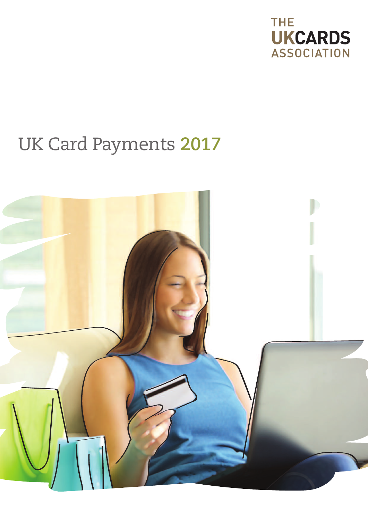

# UK Card Payments **2017**

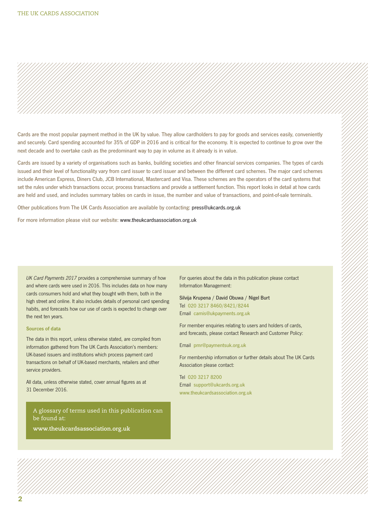

Cards are the most popular payment method in the UK by value. They allow cardholders to pay for goods and services easily, conveniently and securely. Card spending accounted for 35% of GDP in 2016 and is critical for the economy. It is expected to continue to grow over the next decade and to overtake cash as the predominant way to pay in volume as it already is in value.

Cards are issued by a variety of organisations such as banks, building societies and other financial services companies. The types of cards issued and their level of functionality vary from card issuer to card issuer and between the different card schemes. The major card schemes include American Express, Diners Club, JCB International, Mastercard and Visa. These schemes are the operators of the card systems that set the rules under which transactions occur, process transactions and provide a settlement function. This report looks in detail at how cards are held and used, and includes summary tables on cards in issue, the number and value of transactions, and point-of-sale terminals.

Other publications from The UK Cards Association are available by contacting: [press@ukcards.org.uk](mailto:press@ukcards.org.uk)

For more information please visit our website: www.theukcardsassociation.org.uk

UK Card Payments 2017 provides a comprehensive summary of how and where cards were used in 2016. This includes data on how many cards consumers hold and what they bought with them, both in the high street and online. It also includes details of personal card spending habits, and forecasts how our use of cards is expected to change over the next ten years.

#### Sources of data

The data in this report, unless otherwise stated, are compiled from information gathered from The UK Cards Association's members: UK-based issuers and institutions which process payment card transactions on behalf of UK-based merchants, retailers and other service providers.

All data, unless otherwise stated, cover annual figures as at 31 December 2016.

A glossary of terms used in this publication can be found at:

**www.theukcardsassociation.org.uk**

For queries about the data in this publication please contact Information Management:

Silvija Krupena / David Obuwa / Nigel Burt Tel 020 3217 8460/8421/8244 Email camis@ukpayments.org.uk

For member enquiries relating to users and holders of cards, and forecasts, please contact Research and Customer Policy:

#### Email pmr@paymentsuk.org.uk

For membership information or further details about The UK Cards Association please contact:

Tel 020 3217 8200 Email support@ukcards.org.uk www.theukcardsassociation.org.uk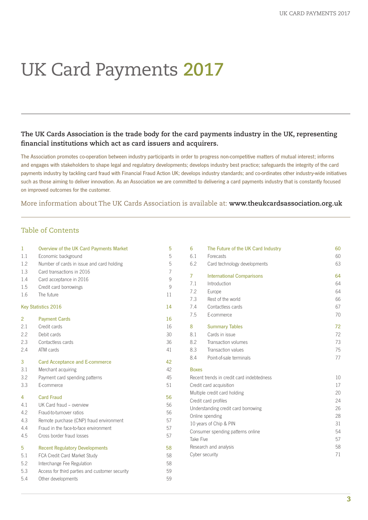# UK Card Payments **2017**

## **The UK Cards Association is the trade body for the card payments industry in the UK, representing financial institutions which act as card issuers and acquirers.**

The Association promotes co-operation between industry participants in order to progress non-competitive matters of mutual interest; informs and engages with stakeholders to shape legal and regulatory developments; develops industry best practice; safeguards the integrity of the card payments industry by tackling card fraud with Financial Fraud Action UK; develops industry standards; and co-ordinates other industry-wide initiatives such as those aiming to deliver innovation. As an Association we are committed to delivering a card payments industry that is constantly focused on improved outcomes for the customer.

More information about The UK Cards Association is available at: **www.theukcardsassociation.org.uk**

#### Table of Contents

| $\mathbf{1}$               | Overview of the UK Card Payments Market        | 5              | 6                                                                           | The Fu            |  |
|----------------------------|------------------------------------------------|----------------|-----------------------------------------------------------------------------|-------------------|--|
| 1.1                        | Economic background                            | 5              | 6.1                                                                         | Forecas           |  |
| 1.2                        | Number of cards in issue and card holding      | 5              | 6.2                                                                         | Card te           |  |
| 1.3                        | Card transactions in 2016                      | $\overline{7}$ | $\overline{7}$                                                              |                   |  |
| 1.4                        | Card acceptance in 2016                        | 9              |                                                                             | Interna           |  |
| 1.5                        | Credit card borrowings                         | 9              | 7.1                                                                         | Introdu           |  |
| 1.6                        | The future                                     | 11             | 7.2                                                                         | Europe            |  |
| <b>Key Statistics 2016</b> |                                                | 14             | 7.3<br>7.4                                                                  | Rest of<br>Contac |  |
|                            |                                                |                | 7.5                                                                         | E-comn            |  |
| 2                          | <b>Payment Cards</b>                           | 16             |                                                                             |                   |  |
| 2.1                        | Credit cards                                   | 16             | 8                                                                           | Summ              |  |
| 2.2                        | Debit cards                                    | 30             | 8.1                                                                         | Cards i           |  |
| 2.3                        | Contactless cards                              | 36             | 8.2                                                                         | Transad           |  |
| 2.4                        | ATM cards                                      | 41             | 8.3                                                                         | Transad           |  |
| 3                          | <b>Card Acceptance and E-commerce</b>          | 42             | 8.4                                                                         | Point-of          |  |
| 3.1                        | Merchant acquiring                             | 42             | <b>Boxes</b>                                                                |                   |  |
| 3.2                        | Payment card spending patterns                 | 45             |                                                                             | Recent trends in  |  |
| 3.3                        | E-commerce                                     | 51             | Credit card acqu                                                            |                   |  |
|                            |                                                |                |                                                                             | Multiple credit c |  |
| 4                          | <b>Card Fraud</b>                              | 56             | Credit card profi<br>Understanding o<br>Online spending<br>10 years of Chip |                   |  |
| 4.1                        | UK Card fraud - overview                       | 56             |                                                                             |                   |  |
| 4.2                        | Fraud-to-turnover ratios                       | 56             |                                                                             |                   |  |
| 4.3                        | Remote purchase (CNP) fraud environment        | 57             |                                                                             |                   |  |
| 4.4                        | Fraud in the face-to-face environment          | 57             |                                                                             | Consumer spen     |  |
| 4.5                        | Cross border fraud losses                      | 57             | Take Five                                                                   |                   |  |
| 5                          | <b>Recent Regulatory Developments</b>          | 58             |                                                                             | Research and ar   |  |
| 5.1                        | FCA Credit Card Market Study                   | 58             |                                                                             | Cyber security    |  |
| 5.2                        | Interchange Fee Regulation                     | 58             |                                                                             |                   |  |
| 5.3                        | Access for third parties and customer security | 59             |                                                                             |                   |  |
| 5.4                        | Other developments                             | 59             |                                                                             |                   |  |
|                            |                                                |                |                                                                             |                   |  |

| 6                                 | The Future of the UK Card Industry        | 60 |
|-----------------------------------|-------------------------------------------|----|
| 6.1                               | Forecasts                                 | 60 |
| 6.2                               | Card technology developments              | 63 |
| 7                                 | <b>International Comparisons</b>          | 64 |
| 7.1                               | Introduction                              | 64 |
| 7.2                               | Europe                                    | 64 |
| 7.3                               | Rest of the world                         | 66 |
| 7.4                               | Contactless cards                         | 67 |
| 7.5                               | E-commerce                                | 70 |
| 8                                 | <b>Summary Tables</b>                     | 72 |
| 8.1                               | Cards in issue                            | 72 |
| 8.2                               | Transaction volumes                       | 73 |
| 8.3                               | Transaction values                        | 75 |
| 8.4                               | Point-of-sale terminals                   | 77 |
| <b>Boxes</b>                      |                                           |    |
|                                   | Recent trends in credit card indebtedness | 10 |
| Credit card acquisition           |                                           | 17 |
| Multiple credit card holding      |                                           | 20 |
|                                   | Credit card profiles                      | 24 |
|                                   | Understanding credit card borrowing       | 26 |
|                                   | Online spending                           | 28 |
|                                   | 10 years of Chip & PIN                    | 31 |
| Consumer spending patterns online |                                           | 54 |
| Take Five                         |                                           | 57 |
| Research and analysis             |                                           | 58 |
| Cyber security                    |                                           | 71 |
|                                   |                                           |    |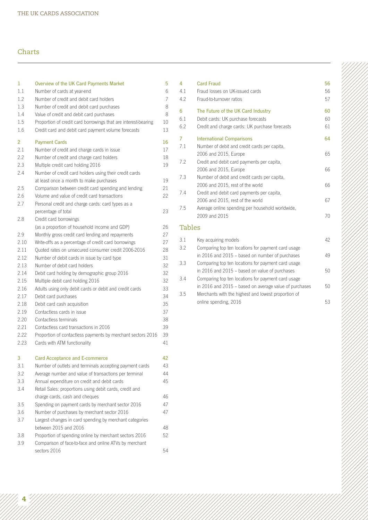## Charts

| 1       | Overview of the UK Card Payments Market                        | 5  |
|---------|----------------------------------------------------------------|----|
| $1.1\,$ | Number of cards at year-end                                    | 6  |
| 1.2     | Number of credit and debit card holders                        | 7  |
| 1.3     | Number of credit and debit card purchases                      | 8  |
| 1.4     | Value of credit and debit card purchases                       | 8  |
| 1.5     | Proportion of credit card borrowings that are interest-bearing | 10 |
| 1.6     | Credit card and debit card payment volume forecasts            | 13 |
| 2       | <b>Payment Cards</b>                                           | 16 |
| 2.1     | Number of credit and charge cards in issue                     | 17 |
| 2.2     | Number of credit and charge card holders                       | 18 |
| 2.3     | Multiple credit card holding 2016                              | 19 |
| 2.4     | Number of credit card holders using their credit cards         |    |
|         | at least once a month to make purchases                        | 19 |
| 2.5     | Comparison between credit card spending and lending            | 21 |
| 2.6     | Volume and value of credit card transactions                   | 22 |
| 2.7     | Personal credit and charge cards: card types as a              |    |
|         | percentage of total                                            | 23 |
| 2.8     | Credit card borrowings                                         |    |
|         | (as a proportion of household income and GDP)                  | 26 |
| 2.9     | Monthly gross credit card lending and repayments               | 27 |
| 2.10    | Write-offs as a percentage of credit card borrowings           | 27 |
| 2.11    | Quoted rates on unsecured consumer credit 2006-2016            | 28 |
| 2.12    | Number of debit cards in issue by card type                    | 31 |
| 2.13    | Number of debit card holders                                   | 32 |
| 2.14    | Debit card holding by demographic group 2016                   | 32 |
| 2.15    | Multiple debit card holding 2016                               | 32 |
| 2.16    | Adults using only debit cards or debit and credit cards        | 33 |
| 2.17    | Debit card purchases                                           | 34 |
| 2.18    | Debit card cash acquisition                                    | 35 |
| 2.19    | Contactless cards in issue                                     | 37 |
| 2.20    | Contactless terminals                                          | 38 |
| 2.21    | Contactless card transactions in 2016                          | 39 |
| 2.22    | Proportion of contactless payments by merchant sectors 2016    | 39 |
| 2.23    | Cards with ATM functionality                                   | 41 |
| 3       | <b>Card Acceptance and E-commerce</b>                          | 42 |
| 3.1     | Number of outlets and terminals accepting payment cards        | 43 |
| 3.2     | Average number and value of transactions per terminal          | 44 |
| 3.3     | Annual expenditure on credit and debit cards                   | 45 |
| 3.4     | Retail Sales: proportions using debit cards, credit and        |    |
|         | charge cards, cash and cheques                                 | 46 |
| 3.5     | Spending on payment cards by merchant sector 2016              | 47 |
| 3.6     | Number of purchases by merchant sector 2016                    | 47 |
| 3.7     | Largest changes in card spending by merchant categories        |    |
|         | between 2015 and 2016                                          | 48 |
| 3.8     | Proportion of spending online by merchant sectors 2016         | 52 |
| 3.9     | Comparison of face-to-face and online ATVs by merchant         |    |
|         | sectors 2016                                                   | 54 |
|         |                                                                |    |

| 4<br>4.1<br>4.2 | <b>Card Fraud</b><br>Fraud losses on UK-issued cards<br>Fraud-to-turnover ratios | 56<br>56<br>57 |
|-----------------|----------------------------------------------------------------------------------|----------------|
| 6               | The Future of the UK Card Industry                                               | 60             |
| 6.1             | Debit cards: UK purchase forecasts                                               | 60             |
| 6.2             | Credit and charge cards: UK purchase forecasts                                   | 61             |
| 7               | <b>International Comparisons</b>                                                 | 64             |
| 7.1             | Number of debit and credit cards per capita,                                     |                |
|                 | 2006 and 2015, Europe                                                            | 65             |
| 7.2             | Credit and debit card payments per capita,                                       |                |
|                 | 2006 and 2015, Europe                                                            | 66             |
| 7.3             | Number of debit and credit cards per capita,                                     |                |
|                 | 2006 and 2015, rest of the world                                                 | 66             |
| 7.4             | Credit and debit card payments per capita,                                       |                |
|                 | 2006 and 2015, rest of the world                                                 | 67             |
| 7.5             | Average online spending per household worldwide,                                 |                |
|                 | 2009 and 2015                                                                    | 70             |
| <b>Tables</b>   |                                                                                  |                |
| 3.1             | Key acquiring models                                                             | 42             |
| 3.2             | Comparing top ten locations for payment card usage                               |                |
|                 | in 2016 and 2015 - based on number of purchases                                  | 49             |
| 3.3             | Comparing top ten locations for payment card usage                               |                |
|                 | in 2016 and 2015 – based on value of purchases                                   | 50             |
| 3.4             | Comparing top ten locations for payment card usage                               |                |
|                 | in 2016 and 2015 - based on average value of purchases                           | 50             |
| 3.5             | Merchants with the highest and lowest proportion of                              |                |
|                 | online spending, 2016                                                            | 53             |

**4**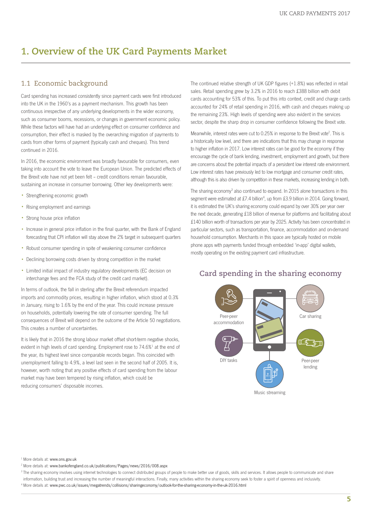# <span id="page-4-0"></span>**1. Overview of the UK Card Payments Market**

#### 1.1 Economic background

Card spending has increased consistently since payment cards were first introduced into the UK in the 1960's as a payment mechanism. This growth has been continuous irrespective of any underlying developments in the wider economy, such as consumer booms, recessions, or changes in government economic policy. While these factors will have had an underlying effect on consumer confidence and consumption, their effect is masked by the overarching migration of payments to cards from other forms of payment (typically cash and cheques). This trend continued in 2016.

In 2016, the economic environment was broadly favourable for consumers, even taking into account the vote to leave the European Union. The predicted effects of the Brexit vote have not yet been felt – credit conditions remain favourable, sustaining an increase in consumer borrowing. Other key developments were:

- Strengthening economic growth
- Rising employment and earnings
- Strong house price inflation
- Increase in general price inflation in the final quarter, with the Bank of England forecasting that CPI inflation will stay above the 2% target in subsequent quarters
- Robust consumer spending in spite of weakening consumer confidence
- Declining borrowing costs driven by strong competition in the market
- Limited initial impact of industry regulatory developments (EC decision on interchange fees and the FCA study of the credit card market).

In terms of outlook, the fall in sterling after the Brexit referendum impacted imports and commodity prices, resulting in higher inflation, which stood at 0.3% in January, rising to 1.6% by the end of the year. This could increase pressure on households, potentially lowering the rate of consumer spending. The full consequences of Brexit will depend on the outcome of the Article 50 negotiations. This creates a number of uncertainties.

It is likely that in 2016 the strong labour market offset short-term negative shocks, evident in high levels of card spending. Employment rose to 74.6%<sup>1</sup> at the end of the year, its highest level since comparable records began. This coincided with unemployment falling to 4.9%, a level last seen in the second half of 2005. It is, however, worth noting that any positive effects of card spending from the labour market may have been tempered by rising inflation, which could be reducing consumers' disposable incomes.

The continued relative strength of UK GDP figures (+1.8%) was reflected in retail sales. Retail spending grew by 3.2% in 2016 to reach £388 billion with debit cards accounting for 53% of this. To put this into context, credit and charge cards accounted for 24% of retail spending in 2016, with cash and cheques making up the remaining 23%. High levels of spending were also evident in the services sector, despite the sharp drop in consumer confidence following the Brexit vote.

Meanwhile, interest rates were cut to 0.25% in response to the Brexit vote<sup>2</sup>. This is a historically low level, and there are indications that this may change in response to higher inflation in 2017. Low interest rates can be good for the economy if they encourage the cycle of bank lending, investment, employment and growth, but there are concerns about the potential impacts of a persistent low interest rate environment. Low interest rates have previously led to low mortgage and consumer credit rates, although this is also driven by competition in these markets, increasing lending in both.

The sharing economy<sup>3</sup> also continued to expand. In 2015 alone transactions in this segment were estimated at £7.4 billion<sup>4</sup>, up from £3.9 billion in 2014. Going forward, it is estimated the UK's sharing economy could expand by over 30% per year over the next decade, generating £18 billion of revenue for platforms and facilitating about £140 billion worth of transactions per year by 2025. Activity has been concentrated in particular sectors, such as transportation, finance, accommodation and on-demand household consumption. Merchants in this space are typically hosted on mobile phone apps with payments funded through embedded 'in-app' digital wallets, mostly operating on the existing payment card infrastructure.



## **Card spending in the sharing economy**

<sup>1</sup> More details at: www.ons.gov.uk

<sup>2</sup> More details at: www.bankofengland.co.uk/publications/Pages/news/2016/008.aspx

<sup>&</sup>lt;sup>3</sup> The sharing economy involves using internet technologies to connect distributed groups of people to make better use of goods, skills and services. It allows people to communicate and share information, building trust and increasing the number of meaningful interactions. Finally, many activities within the sharing economy seek to foster a spirit of openness and inclusivity. <sup>4</sup> More details at: www.pwc.co.uk/issues/megatrends/collisions/sharingeconomy/outlook-for-the-sharing-economy-in-the-uk-2016.html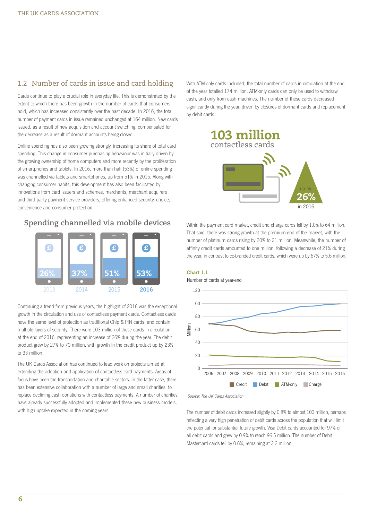## <span id="page-5-0"></span>1.2 Number of cards in issue and card holding

Cards continue to play a crucial role in everyday life. This is demonstrated by the extent to which there has been growth in the number of cards that consumers hold, which has increased consistently over the past decade. In 2016, the total number of payment cards in issue remained unchanged at 164 million. New cards issued, as a result of new acquisition and account switching, compensated for the decrease as a result of dormant accounts being closed.

Online spending has also been growing strongly, increasing its share of total card spending. This change in consumer purchasing behaviour was initially driven by the growing ownership of home computers and more recently by the proliferation of smartphones and tablets. In 2016, more than half (53%) of online spending was channelled via tablets and smartphones, up from 51% in 2015. Along with changing consumer habits, this development has also been facilitated by innovations from card issuers and schemes, merchants, merchant acquirers and third party payment service providers, offering enhanced security, choice, convenience and consumer protection.

#### **Spending channelled via mobile devices**



Continuing a trend from previous years, the highlight of 2016 was the exceptional growth in the circulation and use of contactless payment cards. Contactless cards have the same level of protection as traditional Chip & PIN cards, and contain multiple layers of security. There were 103 million of these cards in circulation at the end of 2016, representing an increase of 26% during the year. The debit product grew by 27% to 70 million, with growth in the credit product up by 23% to 33 million.

The UK Cards Association has continued to lead work on projects aimed at extending the adoption and application of contactless card payments. Areas of focus have been the transportation and charitable sectors. In the latter case, there has been extensive collaboration with a number of large and small charities, to replace declining cash donations with contactless payments. A number of charities have already successfully adopted and implemented these new business models, with high uptake expected in the coming years.

With ATM-only cards included, the total number of cards in circulation at the end of the year totalled 174 million. ATM-only cards can only be used to withdraw cash, and only from cash machines. The number of these cards decreased significantly during the year, driven by closures of dormant cards and replacement by debit cards.



Within the payment card market, credit and charge cards fell by 1.0% to 64 million. That said, there was strong growth at the premium end of the market, with the number of platinum cards rising by 20% to 21 million. Meanwhile, the number of affinity credit cards amounted to one million, following a decrease of 21% during the year, in contrast to co-branded credit cards, which were up by 67% to 5.6 million.

Chart 1.1



Source: The UK Cards Association

The number of debit cards increased slightly by 0.8% to almost 100 million, perhaps reflecting a very high penetration of debit cards across the population that will limit the potential for substantial future growth. Visa Debit cards accounted for 97% of all debit cards and grew by 0.9% to reach 96.5 million. The number of Debit Mastercard cards fell by 0.6%, remaining at 3.2 million.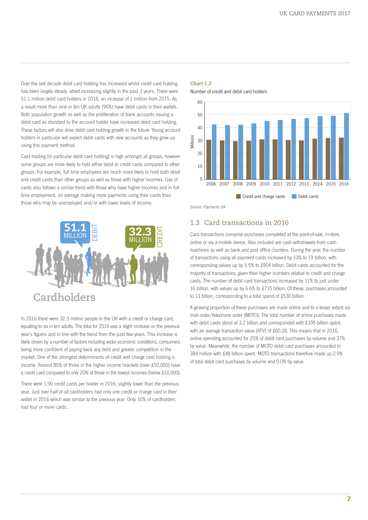<span id="page-6-0"></span>Over the last decade debit card holding has increased whilst credit card holding has been largely steady, albeit increasing slightly in the past 3 years. There were 51.1 million debit card holders in 2016, an increase of 1 million from 2015. As a result more than nine in ten UK adults (96%) have debit cards in their wallets. Both population growth as well as the proliferation of bank accounts issuing a debit card as standard to the account holder have increased debit card holding. These factors will also drive debit card holding growth in the future. Young account holders in particular will expect debit cards with new accounts as they grow up using this payment method.

Card holding (in particular debit card holding) is high amongst all groups, however some groups are more likely to hold either debit or credit cards compared to other groups. For example, full time employees are much more likely to hold both debit and credit cards than other groups as well as those with higher incomes. Use of cards also follows a similar trend with those who have higher incomes and in full time employment, on average making more payments using their cards than those who may be unemployed and/or with lower levels of income.



In 2016 there were 32.3 million people in the UK with a credit or charge card, equating to six in ten adults. The total for 2016 was a slight increase on the previous year's figures and in line with the trend from the past few years. This increase is likely driven by a number of factors including wider economic conditions, consumers being more confident of paying back any debt and greater competition in the market. One of the strongest determinants of credit and charge card holding is income. Around 80% of those in the higher income brackets (over £50,000) have a credit card compared to only 20% of those in the lowest incomes (below £10,000).

There were 1.90 credit cards per holder in 2016, slightly lower than the previous year. Just over half of all cardholders had only one credit or charge card in their wallet in 2016 which was similar to the previous year. Only 10% of cardholders had four or more cards.

#### Chart 1.2

Number of credit and debit card holders



Source: Payments UK

#### 1.3 Card transactions in 2016

Card transactions comprise purchases completed at the point-of-sale, in-store, online or via a mobile device. Also included are cash withdrawals from cash machines as well as bank and post office counters. During the year, the number of transactions using all payment cards increased by 10% to 19 billion, with corresponding values up by 5.5% to £904 billion. Debit cards accounted for the majority of transactions, given their higher numbers relative to credit and charge cards. The number of debit card transactions increased by 11% to just under 16 billion, with values up by 6.6% to £715 billion. Of these, purchases amounted to 13 billion, corresponding to a total spend of £530 billion.

A growing proportion of these purchases are made online and to a lesser extent via mail order/telephone order (MOTO). The total number of online purchases made with debit cards stood at 3.2 billion and corresponded with £195 billion spent. with an average transaction value (ATV) of £60.28. This means that in 2016, online spending accounted for 25% of debit card purchases by volume and 37% by value. Meanwhile, the number of MOTO debit card purchases amounted to 384 million with £48 billion spent. MOTO transactions therefore made up 2.9% of total debit card purchases by volume and 9.0% by value.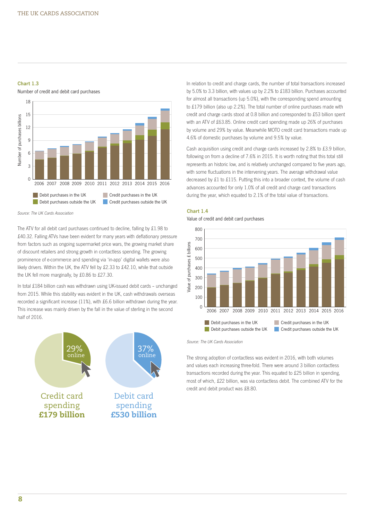#### <span id="page-7-0"></span>Chart 1.3

Number of credit and debit card purchases



Source: The UK Cards Association

The ATV for all debit card purchases continued to decline, falling by £1.98 to £40.32. Falling ATVs have been evident for many years with deflationary pressure from factors such as ongoing supermarket price wars, the growing market share of discount retailers and strong growth in contactless spending. The growing prominence of e-commerce and spending via 'in-app' digital wallets were also likely drivers. Within the UK, the ATV fell by £2.33 to £42.10, while that outside the UK fell more marginally, by £0.86 to £27.30.

In total £184 billion cash was withdrawn using UK-issued debit cards – unchanged from 2015. While this stability was evident in the UK, cash withdrawals overseas recorded a significant increase (11%), with £6.6 billion withdrawn during the year. This increase was mainly driven by the fall in the value of sterling in the second half of 2016.



In relation to credit and charge cards, the number of total transactions increased by 5.0% to 3.3 billion, with values up by 2.2% to £183 billion. Purchases accounted for almost all transactions (up 5.0%), with the corresponding spend amounting to £179 billion (also up 2.2%). The total number of online purchases made with credit and charge cards stood at 0.8 billion and corresponded to £53 billion spent with an ATV of £63.85. Online credit card spending made up 26% of purchases by volume and 29% by value. Meanwhile MOTO credit card transactions made up 4.6% of domestic purchases by volume and 9.5% by value.

Cash acquisition using credit and charge cards increased by 2.8% to £3.9 billion, following on from a decline of 7.6% in 2015. It is worth noting that this total still represents an historic low, and is relatively unchanged compared to five years ago, with some fluctuations in the intervening years. The average withdrawal value decreased by £1 to £115. Putting this into a broader context, the volume of cash advances accounted for only 1.0% of all credit and charge card transactions during the year, which equated to 2.1% of the total value of transactions.

#### Chart 1.4





Source: The UK Cards Association

The strong adoption of contactless was evident in 2016, with both volumes and values each increasing three-fold. There were around 3 billion contactless transactions recorded during the year. This equated to £25 billion in spending, most of which, £22 billion, was via contactless debit. The combined ATV for the credit and debit product was £8.80.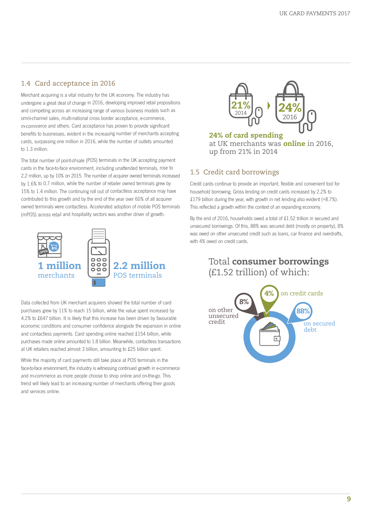## <span id="page-8-0"></span>1.4 Card acceptance in 2016

Merchant acquiring is <sup>a</sup> vital industry for the UK economy. The industry has undergone <sup>a</sup> great deal of change in 2016, developing improved retail propositions and competing across an increasing range of various business models such as omni-channel sales, multi-national cross border acceptance, e-commerce, m-commerce and others. Card acceptance has proven to provide significant benefits to businesses, evident in the increasing number of merchants accepting cards, surpassing one million in 2016, while the number of outlets amounted to 1.3 million.

The total number of point-of-sale (POS) terminals in the UK accepting payment cards in the face-to-face environment, including unattended terminals, rose to 2.2 million, up by 10% on 2015. The number of acquirer owned terminals increased by 1.6% to 0.7 million, while the number of retailer owned terminals grew by 15% to 1.4 million. The continuing roll out of contactless acceptance may have contributed to this growth and by the end of the year over 60% of all acquirer owned terminals were contactless. Accelerated adoption of mobile POS terminals (mPOS) across retail and hospitality sectors was another driver of growth.



Data collected from UK merchant acquirers showed the total number of card purchases grew by 11% to reach 15 billion, while the value spent increased by 4.2% to £647 billion. It is likely that this increase has been driven by favourable economic conditions and consumer confidence alongside the expansion in online and contactless payments. Card spending online reached £154 billion, while purchases made online amounted to 1.8 billion. Meanwhile, contactless transactions at UK retailers reached almost 3 billion, amounting to £25 billion spent.

While the majority of card payments still take place at POS terminals in the face-to-face environment, the industry is witnessing continued growth in e-commerce and m-commerce as more people choose to shop online and on-the-go. This trend will likely lead to an increasing number of merchants offering their goods and services online.



**24% of card spending** at UK merchants was **online** in 2016, up from 21% in 2014

## 1.5 Credit card borrowings

Credit cards continue to provide an important, flexible and convenient tool for household borrowing. Gross lending on credit cards increased by 2.2% to £179 billion during the year, with growth in net lending also evident (+8.7%). This reflected a growth within the context of an expanding economy.

By the end of 2016, households owed a total of £1.52 trillion in secured and unsecured borrowings. Of this, 88% was secured debt (mostly on property), 8% was owed on other unsecured credit such as loans, car finance and overdrafts, with 4% owed on credit cards.

> Total **consumer borrowings** (£1.52 trillion) of which:

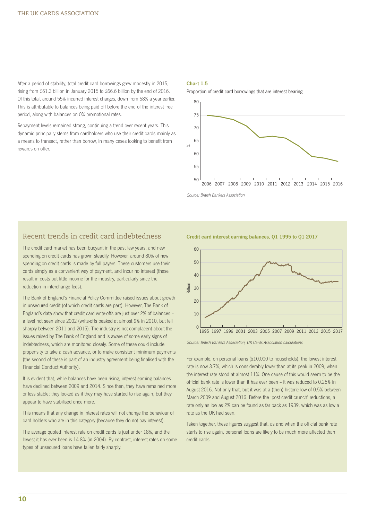<span id="page-9-0"></span>After a period of stability, total credit card borrowings grew modestly in 2015, rising from £61.3 billion in January 2015 to £66.6 billion by the end of 2016. Of this total, around 55% incurred interest charges, down from 58% a year earlier. This is attributable to balances being paid off before the end of the interest free period, along with balances on 0% promotional rates.

Repayment levels remained strong, continuing a trend over recent years. This dynamic principally stems from cardholders who use their credit cards mainly as a means to transact, rather than borrow, in many cases looking to benefit from rewards on offer.

#### Chart 1.5

Proportion of credit card borrowings that are interest bearing



Source: British Bankers Association

#### Recent trends in credit card indebtedness

The credit card market has been buoyant in the past few years, and new spending on credit cards has grown steadily. However, around 80% of new spending on credit cards is made by full payers. These customers use their cards simply as a convenient way of payment, and incur no interest (these result in costs but little income for the industry, particularly since the reduction in interchange fees).

The Bank of England's Financial Policy Committee raised issues about growth in unsecured credit (of which credit cards are part). However, The Bank of England's data show that credit card write-offs are just over 2% of balances – a level not seen since 2002 (write-offs peaked at almost 9% in 2010, but fell sharply between 2011 and 2015). The industry is not complacent about the issues raised by The Bank of England and is aware of some early signs of indebtedness, which are monitored closely. Some of these could include propensity to take a cash advance, or to make consistent minimum payments (the second of these is part of an industry agreement being finalised with the Financial Conduct Authority).

It is evident that, while balances have been rising, interest earning balances have declined between 2009 and 2014. Since then, they have remained more or less stable; they looked as if they may have started to rise again, but they appear to have stabilised once more.

This means that any change in interest rates will not change the behaviour of card holders who are in this category (because they do not pay interest).

The average quoted interest rate on credit cards is just under 18%, and the lowest it has ever been is 14.8% (in 2004). By contrast, interest rates on some types of unsecured loans have fallen fairly sharply.

Credit card interest earning balances, Q1 1995 to Q1 2017



Source: British Bankers Association, UK Cards Association calculations

For example, on personal loans (£10,000 to households), the lowest interest rate is now 3.7%, which is considerably lower than at its peak in 2009, when the interest rate stood at almost 11%. One cause of this would seem to be the official bank rate is lower than it has ever been – it was reduced to 0.25% in August 2016. Not only that, but it was at a (then) historic low of 0.5% between March 2009 and August 2016. Before the 'post credit crunch' reductions, a rate only as low as 2% can be found as far back as 1939, which was as low a rate as the UK had seen.

Taken together, these figures suggest that, as and when the official bank rate starts to rise again, personal loans are likely to be much more affected than credit cards.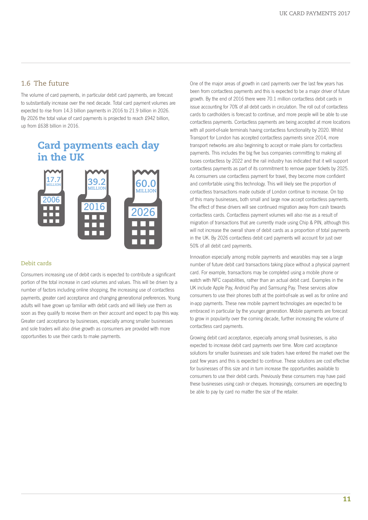#### <span id="page-10-0"></span>1.6 The future

The volume of card payments, in particular debit card payments, are forecast to substantially increase over the next decade. Total card payment volumes are expected to rise from 14.3 billion payments in 2016 to 21.9 billion in 2026. By 2026 the total value of card payments is projected to reach £942 billion, up from £638 billion in 2016.

# **Card payments each day in the UK**



#### Debit cards

Consumers increasing use of debit cards is expected to contribute a significant portion of the total increase in card volumes and values. This will be driven by a number of factors including online shopping, the increasing use of contactless payments, greater card acceptance and changing generational preferences. Young adults will have grown up familiar with debit cards and will likely use them as soon as they qualify to receive them on their account and expect to pay this way. Greater card acceptance by businesses, especially among smaller businesses and sole traders will also drive growth as consumers are provided with more opportunities to use their cards to make payments.

One of the major areas of growth in card payments over the last few years has been from contactless payments and this is expected to be a major driver of future growth. By the end of 2016 there were 70.1 million contactless debit cards in issue accounting for 70% of all debit cards in circulation. The roll out of contactless cards to cardholders is forecast to continue, and more people will be able to use contactless payments. Contactless payments are being accepted at more locations with all point-of-sale terminals having contactless functionality by 2020. Whilst Transport for London has accepted contactless payments since 2014, more transport networks are also beginning to accept or make plans for contactless payments. This includes the big five bus companies committing to making all buses contactless by 2022 and the rail industry has indicated that it will support contactless payments as part of its commitment to remove paper tickets by 2025. As consumers use contactless payment for travel, they become more confident and comfortable using this technology. This will likely see the proportion of contactless transactions made outside of London continue to increase. On top of this many businesses, both small and large now accept contactless payments. The effect of these drivers will see continued migration away from cash towards contactless cards. Contactless payment volumes will also rise as a result of migration of transactions that are currently made using Chip & PIN, although this will not increase the overall share of debit cards as a proportion of total payments in the UK. By 2026 contactless debit card payments will account for just over 50% of all debit card payments.

Innovation especially among mobile payments and wearables may see a large number of future debit card transactions taking place without a physical payment card. For example, transactions may be completed using a mobile phone or watch with NFC capabilities, rather than an actual debit card. Examples in the UK include Apple Pay, Android Pay and Samsung Pay. These services allow consumers to use their phones both at the point-of-sale as well as for online and in-app payments. These new mobile payment technologies are expected to be embraced in particular by the younger generation. Mobile payments are forecast to grow in popularity over the coming decade, further increasing the volume of contactless card payments.

Growing debit card acceptance, especially among small businesses, is also expected to increase debit card payments over time. More card acceptance solutions for smaller businesses and sole traders have entered the market over the past few years and this is expected to continue. These solutions are cost effective for businesses of this size and in turn increase the opportunities available to consumers to use their debit cards. Previously these consumers may have paid these businesses using cash or cheques. Increasingly, consumers are expecting to be able to pay by card no matter the size of the retailer.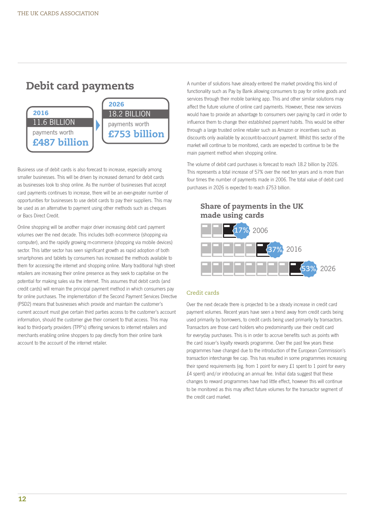# **Debit card payments**



Business use of debit cards is also forecast to increase, especially among smaller businesses. This will be driven by increased demand for debit cards as businesses look to shop online. As the number of businesses that accept card payments continues to increase, there will be an ever-greater number of opportunities for businesses to use debit cards to pay their suppliers. This may be used as an alternative to payment using other methods such as cheques or Bacs Direct Credit.

Online shopping will be another major driver increasing debit card payment volumes over the next decade. This includes both e-commerce (shopping via computer), and the rapidly growing m-commerce (shopping via mobile devices) sector. This latter sector has seen significant growth as rapid adoption of both smartphones and tablets by consumers has increased the methods available to them for accessing the internet and shopping online. Many traditional high street retailers are increasing their online presence as they seek to capitalise on the potential for making sales via the internet. This assumes that debit cards (and credit cards) will remain the principal payment method in which consumers pay for online purchases. The implementation of the Second Payment Services Directive (PSD2) means that businesses which provide and maintain the customer's current account must give certain third parties access to the customer's account information, should the customer give their consent to that access. This may lead to third-party providers (TPP's) offering services to internet retailers and merchants enabling online shoppers to pay directly from their online bank account to the account of the internet retailer.

A number of solutions have already entered the market providing this kind of functionality such as Pay by Bank allowing consumers to pay for online goods and services through their mobile banking app. This and other similar solutions may affect the future volume of online card payments. However, these new services would have to provide an advantage to consumers over paying by card in order to influence them to change their established payment habits. This would be either through a large trusted online retailer such as Amazon or incentives such as discounts only available by account-to-account payment. Whilst this sector of the market will continue to be monitored, cards are expected to continue to be the main payment method when shopping online.

The volume of debit card purchases is forecast to reach 18.2 billion by 2026. This represents a total increase of 57% over the next ten years and is more than four times the number of payments made in 2006. The total value of debit card purchases in 2026 is expected to reach £753 billion.

#### **Share of payments in the UK made using cards**



#### Credit cards

Over the next decade there is projected to be a steady increase in credit card payment volumes. Recent years have seen a trend away from credit cards being used primarily by borrowers, to credit cards being used primarily by transactors. Transactors are those card holders who predominantly use their credit card for everyday purchases. This is in order to accrue benefits such as points with the card issuer's loyalty rewards programme. Over the past few years these programmes have changed due to the introduction of the European Commission's transaction interchange fee cap. This has resulted in some programmes increasing their spend requirements (eg. from 1 point for every £1 spent to 1 point for every £4 spent) and/or introducing an annual fee. Initial data suggest that these changes to reward programmes have had little effect, however this will continue to be monitored as this may affect future volumes for the transactor segment of the credit card market.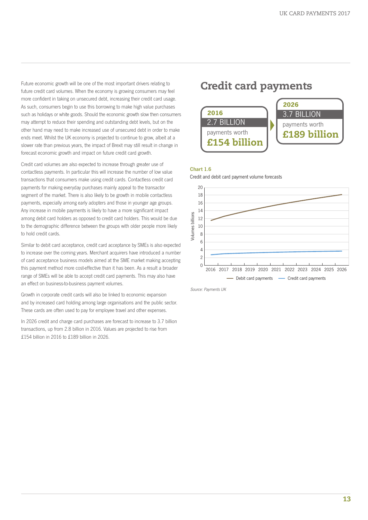<span id="page-12-0"></span>Future economic growth will be one of the most important drivers relating to future credit card volumes. When the economy is growing consumers may feel more confident in taking on unsecured debt, increasing their credit card usage. As such, consumers begin to use this borrowing to make high value purchases such as holidays or white goods. Should the economic growth slow then consumers may attempt to reduce their spending and outstanding debt levels, but on the other hand may need to make increased use of unsecured debt in order to make ends meet. Whilst the UK economy is projected to continue to grow, albeit at a slower rate than previous years, the impact of Brexit may still result in change in forecast economic growth and impact on future credit card growth.

Credit card volumes are also expected to increase through greater use of contactless payments. In particular this will increase the number of low value transactions that consumers make using credit cards. Contactless credit card payments for making everyday purchases mainly appeal to the transactor segment of the market. There is also likely to be growth in mobile contactless payments, especially among early adopters and those in younger age groups. Any increase in mobile payments is likely to have a more significant impact among debit card holders as opposed to credit card holders. This would be due to the demographic difference between the groups with older people more likely to hold credit cards.

Similar to debit card acceptance, credit card acceptance by SMEs is also expected to increase over the coming years. Merchant acquirers have introduced a number of card acceptance business models aimed at the SME market making accepting this payment method more cost-effective than it has been. As a result a broader range of SMEs will be able to accept credit card payments. This may also have an effect on business-to-business payment volumes.

Growth in corporate credit cards will also be linked to economic expansion and by increased card holding among large organisations and the public sector. These cards are often used to pay for employee travel and other expenses.

In 2026 credit and charge card purchases are forecast to increase to 3.7 billion transactions, up from 2.8 billion in 2016. Values are projected to rise from £154 billion in 2016 to £189 billion in 2026.

# **Credit card payments**



#### Chart 1.6

Credit and debit card payment volume forecasts



Source: Payments UK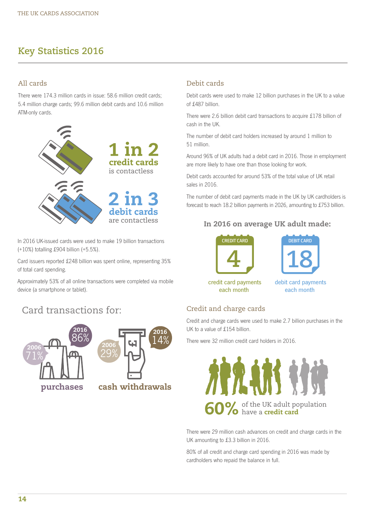# <span id="page-13-0"></span>**Key Statistics 2016**

## All cards

There were 174.3 million cards in issue: 58.6 million credit cards; 5.4 million charge cards; 99.6 million debit cards and 10.6 million ATM-only cards.



In 2016 UK-issued cards were used to make 19 billion transactions (+10%) totalling £904 billion (+5.5%).

Card issuers reported £248 billion was spent online, representing 35% of total card spending.

Approximately 53% of all online transactions were completed via mobile device (a smartphone or tablet).

# Card transactions for:





#### Debit cards

Debit cards were used to make 12 billion purchases in the UK to a value of £487 billion.

There were 2.6 billion debit card transactions to acquire £178 billion of cash in the UK.

The number of debit card holders increased by around 1 million to 51 million.

Around 96% of UK adults had a debit card in 2016. Those in employment are more likely to have one than those looking for work.

Debit cards accounted for around 53% of the total value of UK retail sales in 2016.

The number of debit card payments made in the UK by UK cardholders is forecast to reach 18.2 billion payments in 2026, amounting to £753 billion.

## **In 2016 on average UK adult made:**





credit card payments each month

debit card payments each month

## Credit and charge cards

Credit and charge cards were used to make 2.7 billion purchases in the UK to a value of £154 billion.

There were 32 million credit card holders in 2016.



There were 29 million cash advances on credit and charge cards in the UK amounting to £3.3 billion in 2016.

80% of all credit and charge card spending in 2016 was made by cardholders who repaid the balance in full.